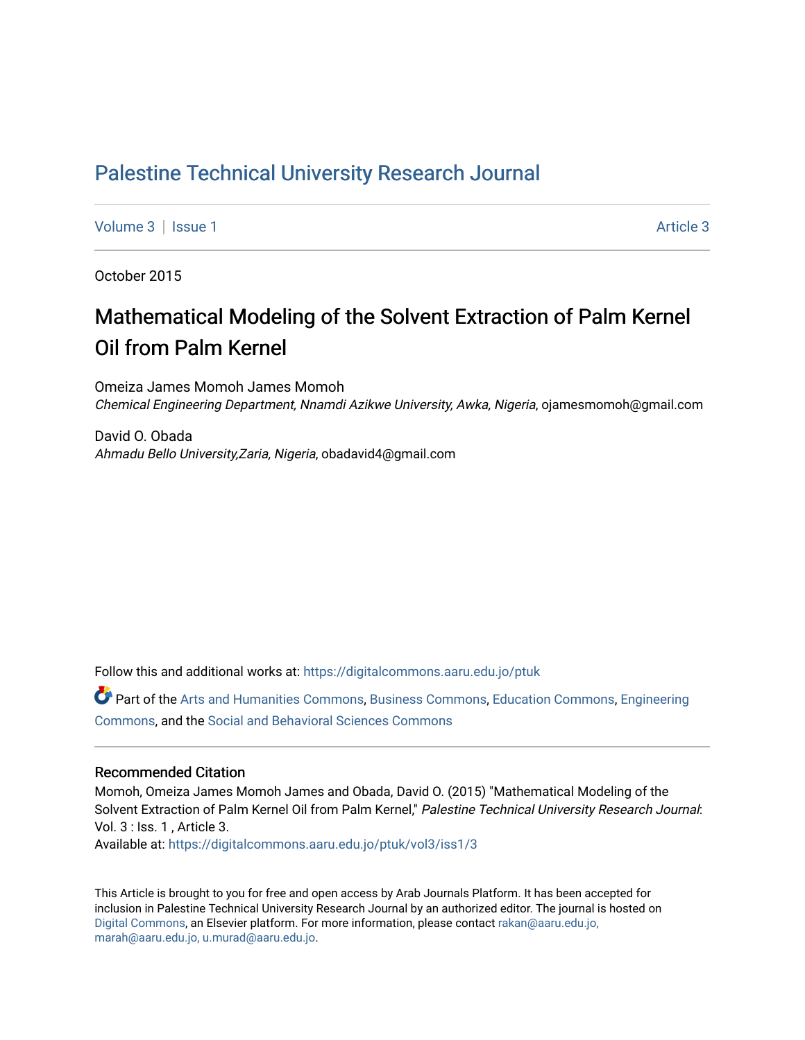## [Palestine Technical University Research Journal](https://digitalcommons.aaru.edu.jo/ptuk)

[Volume 3](https://digitalcommons.aaru.edu.jo/ptuk/vol3) | [Issue 1](https://digitalcommons.aaru.edu.jo/ptuk/vol3/iss1) Article 3

October 2015

## Mathematical Modeling of the Solvent Extraction of Palm Kernel Oil from Palm Kernel

Omeiza James Momoh James Momoh Chemical Engineering Department, Nnamdi Azikwe University, Awka, Nigeria, ojamesmomoh@gmail.com

David O. Obada Ahmadu Bello University,Zaria, Nigeria, obadavid4@gmail.com

Follow this and additional works at: [https://digitalcommons.aaru.edu.jo/ptuk](https://digitalcommons.aaru.edu.jo/ptuk?utm_source=digitalcommons.aaru.edu.jo%2Fptuk%2Fvol3%2Fiss1%2F3&utm_medium=PDF&utm_campaign=PDFCoverPages) 

Part of the [Arts and Humanities Commons,](http://network.bepress.com/hgg/discipline/438?utm_source=digitalcommons.aaru.edu.jo%2Fptuk%2Fvol3%2Fiss1%2F3&utm_medium=PDF&utm_campaign=PDFCoverPages) [Business Commons](http://network.bepress.com/hgg/discipline/622?utm_source=digitalcommons.aaru.edu.jo%2Fptuk%2Fvol3%2Fiss1%2F3&utm_medium=PDF&utm_campaign=PDFCoverPages), [Education Commons,](http://network.bepress.com/hgg/discipline/784?utm_source=digitalcommons.aaru.edu.jo%2Fptuk%2Fvol3%2Fiss1%2F3&utm_medium=PDF&utm_campaign=PDFCoverPages) [Engineering](http://network.bepress.com/hgg/discipline/217?utm_source=digitalcommons.aaru.edu.jo%2Fptuk%2Fvol3%2Fiss1%2F3&utm_medium=PDF&utm_campaign=PDFCoverPages) [Commons](http://network.bepress.com/hgg/discipline/217?utm_source=digitalcommons.aaru.edu.jo%2Fptuk%2Fvol3%2Fiss1%2F3&utm_medium=PDF&utm_campaign=PDFCoverPages), and the [Social and Behavioral Sciences Commons](http://network.bepress.com/hgg/discipline/316?utm_source=digitalcommons.aaru.edu.jo%2Fptuk%2Fvol3%2Fiss1%2F3&utm_medium=PDF&utm_campaign=PDFCoverPages)

#### Recommended Citation

Momoh, Omeiza James Momoh James and Obada, David O. (2015) "Mathematical Modeling of the Solvent Extraction of Palm Kernel Oil from Palm Kernel," Palestine Technical University Research Journal: Vol. 3 : Iss. 1 , Article 3.

Available at: [https://digitalcommons.aaru.edu.jo/ptuk/vol3/iss1/3](https://digitalcommons.aaru.edu.jo/ptuk/vol3/iss1/3?utm_source=digitalcommons.aaru.edu.jo%2Fptuk%2Fvol3%2Fiss1%2F3&utm_medium=PDF&utm_campaign=PDFCoverPages)

This Article is brought to you for free and open access by Arab Journals Platform. It has been accepted for inclusion in Palestine Technical University Research Journal by an authorized editor. The journal is hosted on [Digital Commons](https://www.elsevier.com/solutions/digital-commons), an Elsevier platform. For more information, please contact [rakan@aaru.edu.jo,](mailto:rakan@aaru.edu.jo,%20marah@aaru.edu.jo,%20u.murad@aaru.edu.jo)  [marah@aaru.edu.jo, u.murad@aaru.edu.jo.](mailto:rakan@aaru.edu.jo,%20marah@aaru.edu.jo,%20u.murad@aaru.edu.jo)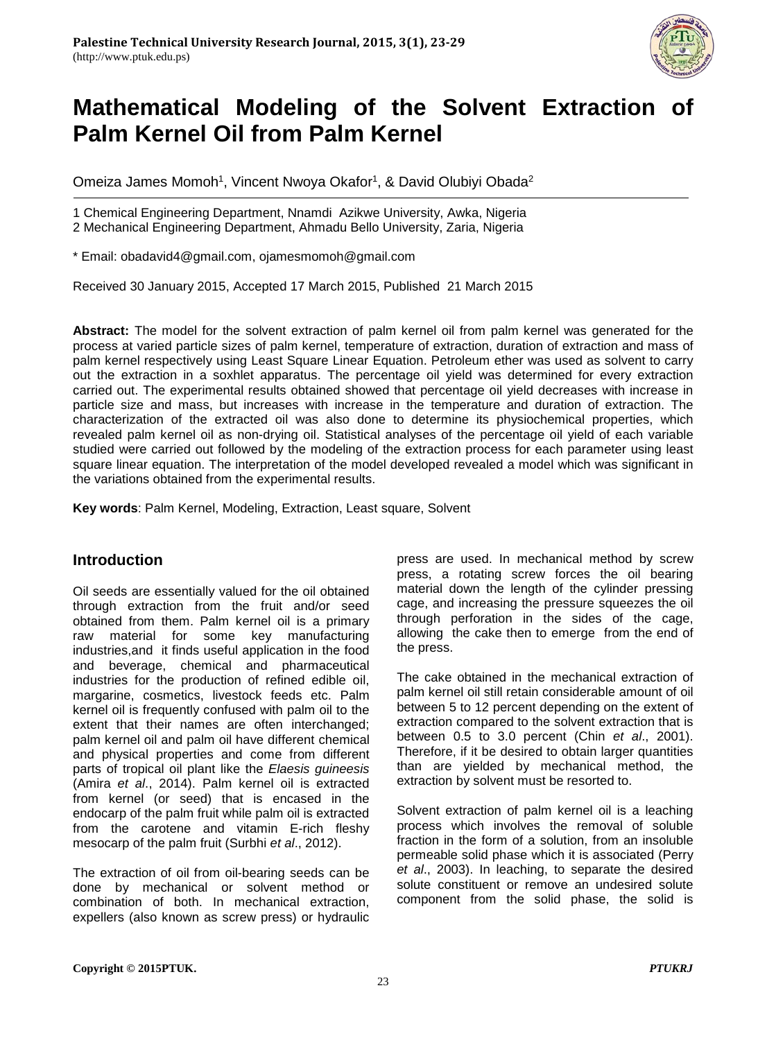

# **Mathematical Modeling of the Solvent Extraction of Palm Kernel Oil from Palm Kernel**

Omeiza James Momoh<sup>1</sup>, Vincent Nwoya Okafor<sup>1</sup>, & David Olubiyi Obada<sup>2</sup>

1 Chemical Engineering Department, Nnamdi Azikwe University, Awka, Nigeria 2 Mechanical Engineering Department, Ahmadu Bello University, Zaria, Nigeria

\* Email: obadavid4@gmail.com, ojamesmomoh@gmail.com

Received 30 January 2015, Accepted 17 March 2015, Published 21 March 2015

**Abstract:** The model for the solvent extraction of palm kernel oil from palm kernel was generated for the process at varied particle sizes of palm kernel, temperature of extraction, duration of extraction and mass of palm kernel respectively using Least Square Linear Equation. Petroleum ether was used as solvent to carry out the extraction in a soxhlet apparatus. The percentage oil yield was determined for every extraction carried out. The experimental results obtained showed that percentage oil yield decreases with increase in particle size and mass, but increases with increase in the temperature and duration of extraction. The characterization of the extracted oil was also done to determine its physiochemical properties, which revealed palm kernel oil as non-drying oil. Statistical analyses of the percentage oil yield of each variable studied were carried out followed by the modeling of the extraction process for each parameter using least square linear equation. The interpretation of the model developed revealed a model which was significant in the variations obtained from the experimental results.

**Key words**: Palm Kernel, Modeling, Extraction, Least square, Solvent

## **Introduction**

Oil seeds are essentially valued for the oil obtained through extraction from the fruit and/or seed obtained from them. Palm kernel oil is a primary raw material for some key manufacturing industries,and it finds useful application in the food and beverage, chemical and pharmaceutical industries for the production of refined edible oil, margarine, cosmetics, livestock feeds etc. Palm kernel oil is frequently confused with palm oil to the extent that their names are often interchanged; palm kernel oil and palm oil have different chemical and physical properties and come from different parts of tropical oil plant like the *Elaesis guineesis* (Amira *et al*., 2014). Palm kernel oil is extracted from kernel (or seed) that is encased in the endocarp of the palm fruit while palm oil is extracted from the carotene and vitamin E-rich fleshy mesocarp of the palm fruit (Surbhi *et al*., 2012).

The extraction of oil from oil-bearing seeds can be done by mechanical or solvent method or combination of both. In mechanical extraction, expellers (also known as screw press) or hydraulic press are used. In mechanical method by screw press, a rotating screw forces the oil bearing material down the length of the cylinder pressing cage, and increasing the pressure squeezes the oil through perforation in the sides of the cage, allowing the cake then to emerge from the end of the press.

The cake obtained in the mechanical extraction of palm kernel oil still retain considerable amount of oil between 5 to 12 percent depending on the extent of extraction compared to the solvent extraction that is between 0.5 to 3.0 percent (Chin *et al*., 2001). Therefore, if it be desired to obtain larger quantities than are yielded by mechanical method, the extraction by solvent must be resorted to.

Solvent extraction of palm kernel oil is a leaching process which involves the removal of soluble fraction in the form of a solution, from an insoluble permeable solid phase which it is associated (Perry *et al*., 2003). In leaching, to separate the desired solute constituent or remove an undesired solute component from the solid phase, the solid is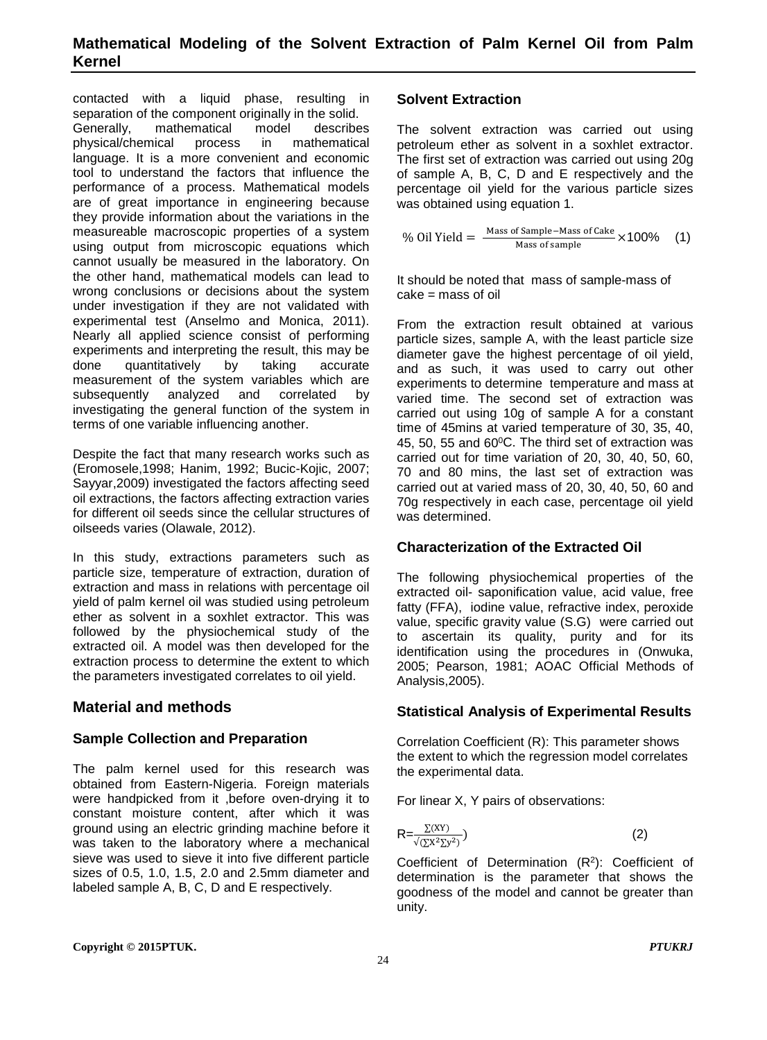contacted with a liquid phase, resulting in separation of the component originally in the solid. Generally, mathematical model describes physical/chemical process in mathematical language. It is a more convenient and economic tool to understand the factors that influence the performance of a process. Mathematical models are of great importance in engineering because they provide information about the variations in the measureable macroscopic properties of a system using output from microscopic equations which cannot usually be measured in the laboratory. On the other hand, mathematical models can lead to wrong conclusions or decisions about the system under investigation if they are not validated with experimental test (Anselmo and Monica, 2011). Nearly all applied science consist of performing experiments and interpreting the result, this may be<br>done quantitatively by taking accurate done quantitatively by taking accurate measurement of the system variables which are subsequently analyzed and correlated by investigating the general function of the system in terms of one variable influencing another.

Despite the fact that many research works such as (Eromosele,1998; Hanim, 1992; Bucic-Kojic, 2007; Sayyar,2009) investigated the factors affecting seed oil extractions, the factors affecting extraction varies for different oil seeds since the cellular structures of oilseeds varies (Olawale, 2012).

In this study, extractions parameters such as particle size, temperature of extraction, duration of extraction and mass in relations with percentage oil yield of palm kernel oil was studied using petroleum ether as solvent in a soxhlet extractor. This was followed by the physiochemical study of the extracted oil. A model was then developed for the extraction process to determine the extent to which the parameters investigated correlates to oil yield.

## **Material and methods**

## **Sample Collection and Preparation**

The palm kernel used for this research was obtained from Eastern-Nigeria. Foreign materials were handpicked from it ,before oven-drying it to constant moisture content, after which it was ground using an electric grinding machine before it was taken to the laboratory where a mechanical sieve was used to sieve it into five different particle sizes of 0.5, 1.0, 1.5, 2.0 and 2.5mm diameter and labeled sample A, B, C, D and E respectively.

## **Solvent Extraction**

The solvent extraction was carried out using petroleum ether as solvent in a soxhlet extractor. The first set of extraction was carried out using 20g of sample A, B, C, D and E respectively and the percentage oil yield for the various particle sizes was obtained using equation 1.

$$
\% \text{ Oil Yield} = \frac{\text{Mass of Sample-Mass of Case}}{\text{Mass of sample}} \times 100\% \quad (1)
$$

It should be noted that mass of sample-mass of cake = mass of oil

From the extraction result obtained at various particle sizes, sample A, with the least particle size diameter gave the highest percentage of oil yield, and as such, it was used to carry out other experiments to determine temperature and mass at varied time. The second set of extraction was carried out using 10g of sample A for a constant time of 45mins at varied temperature of 30, 35, 40, 45, 50, 55 and 60°C. The third set of extraction was carried out for time variation of 20, 30, 40, 50, 60, 70 and 80 mins, the last set of extraction was carried out at varied mass of 20, 30, 40, 50, 60 and 70g respectively in each case, percentage oil yield was determined.

## **Characterization of the Extracted Oil**

The following physiochemical properties of the extracted oil- saponification value, acid value, free fatty (FFA), iodine value, refractive index, peroxide value, specific gravity value (S.G) were carried out to ascertain its quality, purity and for its identification using the procedures in (Onwuka, 2005; Pearson, 1981; AOAC Official Methods of Analysis,2005).

## **Statistical Analysis of Experimental Results**

Correlation Coefficient (R): This parameter shows the extent to which the regression model correlates the experimental data.

For linear X, Y pairs of observations:

$$
R = \frac{\Sigma^{(XY)}}{\sqrt{\Sigma^{X^2} \Sigma y^2}} \tag{2}
$$

Coefficient of Determination (R2): Coefficient of determination is the parameter that shows the goodness of the model and cannot be greater than unity.

**Copyright © 2015PTUK.** *PTUKRJ*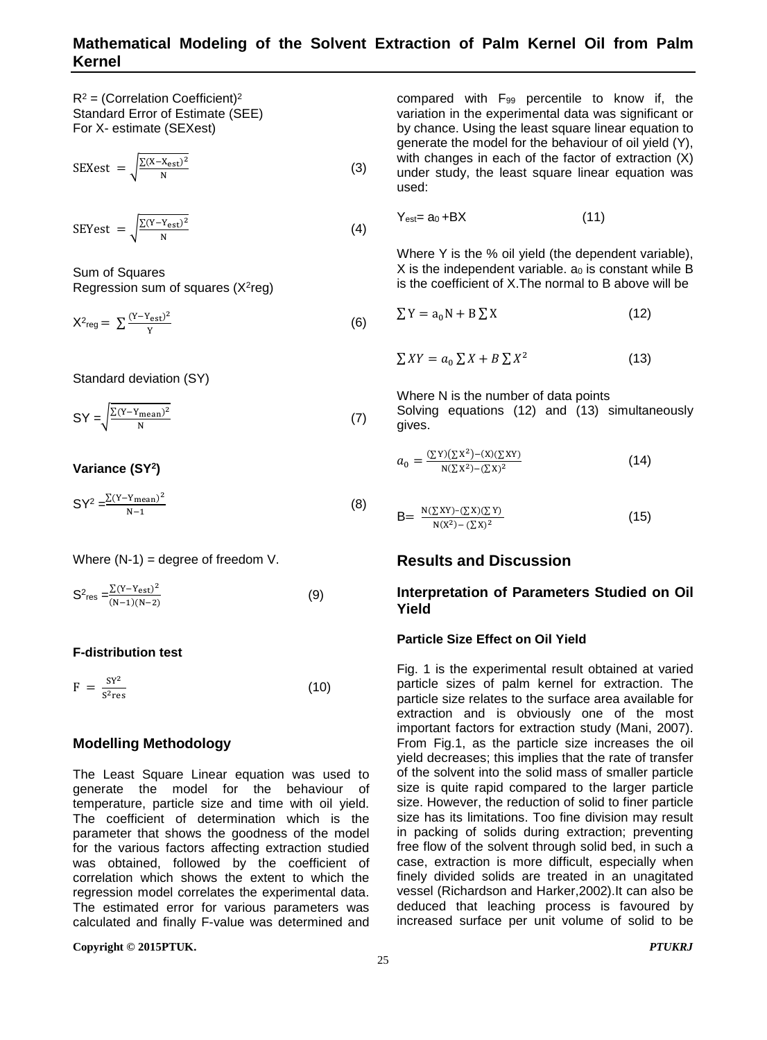$R^2$  = (Correlation Coefficient)<sup>2</sup> Standard Error of Estimate (SEE) For X- estimate (SEXest)

$$
SEXest = \sqrt{\frac{\sum (X - X_{est})^2}{N}}
$$
 (3)

SEYest = 
$$
\sqrt{\frac{\Sigma (Y - Y_{est})^2}{N}}
$$
 (4)

Sum of Squares Regression sum of squares  $(X^2$ reg)

$$
X^2_{reg} = \sum_{Y} \frac{(Y - Y_{est})^2}{Y}
$$
 (6)

Standard deviation (SY)

 $SY = \sqrt{\frac{\sum (Y - Y_{\text{mean}})^2}{N}}$  (7)

#### **Variance (SY2)**

 $SY^2 = \frac{\sum (Y-Y_{\text{mean}})^2}{N-1}$  (8)

Where  $(N-1)$  = degree of freedom V.

$$
S^2_{\text{res}} = \frac{\sum (Y - Y_{\text{est}})^2}{(N-1)(N-2)}
$$
(9)

#### **F-distribution test**

 $F = \frac{SY^2}{S^2 \text{res}}$  $rac{31}{5^2 \text{res}}$  (10)

## **Modelling Methodology**

The Least Square Linear equation was used to generate the model for the behaviour of temperature, particle size and time with oil yield. The coefficient of determination which is the parameter that shows the goodness of the model for the various factors affecting extraction studied was obtained, followed by the coefficient of correlation which shows the extent to which the regression model correlates the experimental data. The estimated error for various parameters was calculated and finally F-value was determined and

**Copyright © 2015PTUK.** *PTUKRJ*

compared with F99 percentile to know if, the variation in the experimental data was significant or by chance. Using the least square linear equation to generate the model for the behaviour of oil yield (Y), with changes in each of the factor of extraction  $(X)$ under study, the least square linear equation was used:

 $Y_{\text{est}} = a_0 + BX$  (11)

Where Y is the % oil yield (the dependent variable), X is the independent variable. a<sub>0</sub> is constant while B is the coefficient of X.The normal to B above will be

$$
\sum Y = a_0 N + B \sum X \tag{12}
$$

$$
\sum XY = a_0 \sum X + B \sum X^2 \tag{13}
$$

Where N is the number of data points Solving equations (12) and (13) simultaneously gives.

$$
a_0 = \frac{(\sum Y)(\sum X^2) - (X)(\sum XY)}{N(\sum X^2) - (\sum X)^2}
$$
 (14)

$$
B = \frac{N(\sum XY) - (\sum X)(\sum Y)}{N(X^2) - (\sum X)^2}
$$
 (15)

#### **Results and Discussion**

#### **Interpretation of Parameters Studied on Oil Yield**

#### **Particle Size Effect on Oil Yield**

Fig. 1 is the experimental result obtained at varied particle sizes of palm kernel for extraction. The particle size relates to the surface area available for extraction and is obviously one of the most important factors for extraction study (Mani, 2007). From Fig.1, as the particle size increases the oil yield decreases; this implies that the rate of transfer of the solvent into the solid mass of smaller particle size is quite rapid compared to the larger particle size. However, the reduction of solid to finer particle size has its limitations. Too fine division may result in packing of solids during extraction; preventing free flow of the solvent through solid bed, in such a case, extraction is more difficult, especially when finely divided solids are treated in an unagitated vessel (Richardson and Harker,2002).It can also be deduced that leaching process is favoured by increased surface per unit volume of solid to be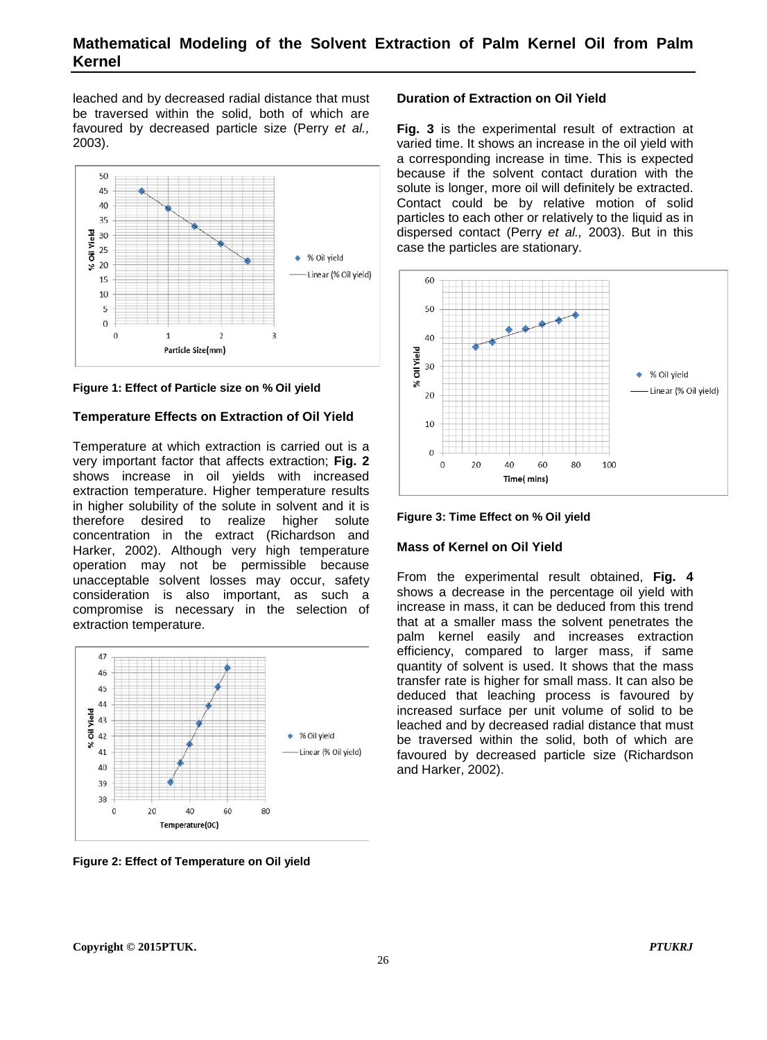leached and by decreased radial distance that must be traversed within the solid, both of which are favoured by decreased particle size (Perry *et al.,* 2003).



**Figure 1: Effect of Particle size on % Oil yield**

#### **Temperature Effects on Extraction of Oil Yield**

Temperature at which extraction is carried out is a very important factor that affects extraction; **Fig. 2** shows increase in oil yields with increased extraction temperature. Higher temperature results in higher solubility of the solute in solvent and it is therefore desired to realize higher solute concentration in the extract (Richardson and Harker, 2002). Although very high temperature operation may not be permissible because unacceptable solvent losses may occur, safety consideration is also important, as such a compromise is necessary in the selection of extraction temperature.



**Figure 2: Effect of Temperature on Oil yield**

#### **Duration of Extraction on Oil Yield**

**Fig. 3** is the experimental result of extraction at varied time. It shows an increase in the oil yield with a corresponding increase in time. This is expected because if the solvent contact duration with the solute is longer, more oil will definitely be extracted. Contact could be by relative motion of solid particles to each other or relatively to the liquid as in dispersed contact (Perry *et al.,* 2003). But in this case the particles are stationary.





#### **Mass of Kernel on Oil Yield**

From the experimental result obtained, **Fig. 4** shows a decrease in the percentage oil yield with increase in mass, it can be deduced from this trend that at a smaller mass the solvent penetrates the palm kernel easily and increases extraction efficiency, compared to larger mass, if same quantity of solvent is used. It shows that the mass transfer rate is higher for small mass. It can also be deduced that leaching process is favoured by increased surface per unit volume of solid to be leached and by decreased radial distance that must be traversed within the solid, both of which are favoured by decreased particle size (Richardson and Harker, 2002).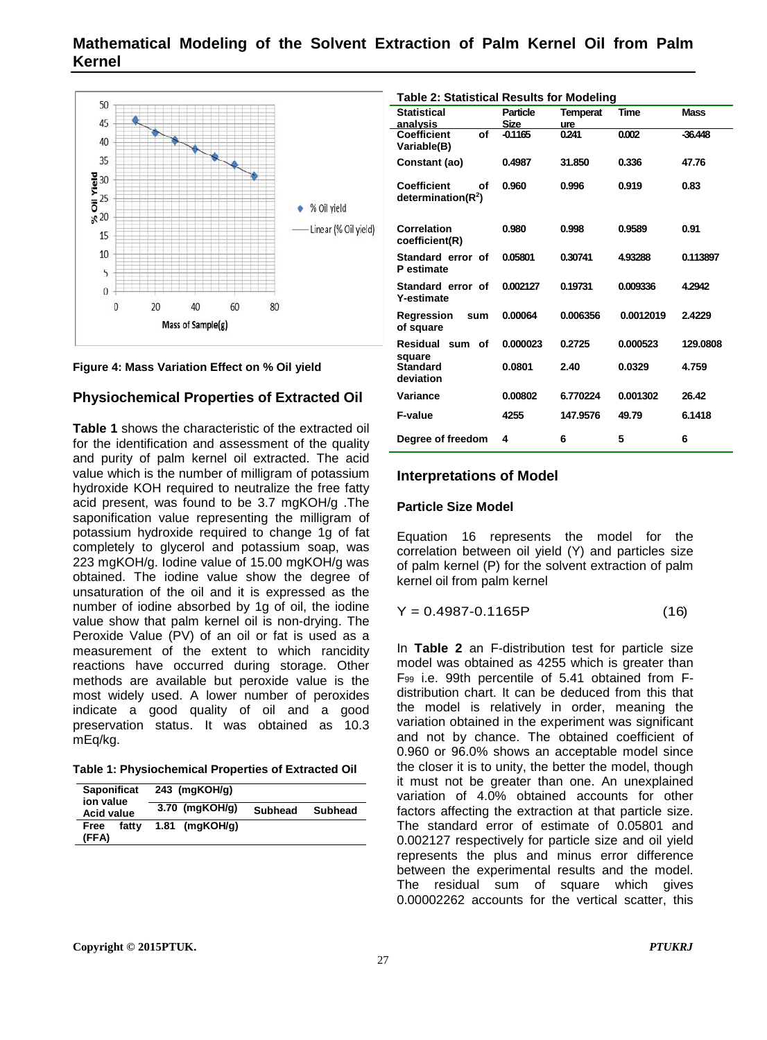## **Mathematical Modeling of the Solvent Extraction of Palm Kernel Oil from Palm Kernel**





#### **Physiochemical Properties of Extracted Oil**

**Table 1** shows the characteristic of the extracted oil for the identification and assessment of the quality and purity of palm kernel oil extracted. The acid value which is the number of milligram of potassium hydroxide KOH required to neutralize the free fatty acid present, was found to be 3.7 mgKOH/g .The saponification value representing the milligram of potassium hydroxide required to change 1g of fat completely to glycerol and potassium soap, was 223 mgKOH/g. Iodine value of 15.00 mgKOH/g was obtained. The iodine value show the degree of unsaturation of the oil and it is expressed as the number of iodine absorbed by 1g of oil, the iodine value show that palm kernel oil is non-drying. The Peroxide Value (PV) of an oil or fat is used as a measurement of the extent to which rancidity reactions have occurred during storage. Other methods are available but peroxide value is the most widely used. A lower number of peroxides indicate a good quality of oil and a good preservation status. It was obtained as 10.3 mEq/kg.

| <b>Saponificat</b><br>ion value<br><b>Acid value</b> |       | 243 (mgKOH/g) |                  |                |         |  |  |
|------------------------------------------------------|-------|---------------|------------------|----------------|---------|--|--|
|                                                      |       |               | $3.70$ (mgKOH/g) | <b>Subhead</b> | Subhead |  |  |
| Free<br>(FFA)                                        | fatty |               | $1.81$ (mgKOH/g) |                |         |  |  |

| <b>Table 2: Statistical Results for Modeling</b>   |                 |          |           |             |  |  |  |  |
|----------------------------------------------------|-----------------|----------|-----------|-------------|--|--|--|--|
| <b>Statistical</b>                                 | <b>Particle</b> | Temperat | Time      | <b>Mass</b> |  |  |  |  |
| analysis                                           | <b>Size</b>     | ure      |           |             |  |  |  |  |
| Coefficient<br>Οf                                  | $-0.1165$       | 0.241    | 0.002     | $-36.448$   |  |  |  |  |
| Variable(B)                                        |                 |          |           |             |  |  |  |  |
| Constant (ao)                                      | 0.4987          | 31.850   | 0.336     | 47.76       |  |  |  |  |
| <b>Coefficient</b><br>οf<br>determination( $R^2$ ) | 0.960           | 0.996    | 0.919     | 0.83        |  |  |  |  |
| Correlation<br>coefficient(R)                      | 0.980           | 0.998    | 0.9589    | 0.91        |  |  |  |  |
| Standard error of<br>P estimate                    | 0.05801         | 0.30741  | 4.93288   | 0.113897    |  |  |  |  |
| Standard error of<br><b>Y-estimate</b>             | 0.002127        | 0.19731  | 0.009336  | 4.2942      |  |  |  |  |
| Regression<br>sum<br>of square                     | 0.00064         | 0.006356 | 0.0012019 | 2.4229      |  |  |  |  |
| Residual<br>sum<br>οf<br>square                    | 0.000023        | 0.2725   | 0.000523  | 129.0808    |  |  |  |  |
| <b>Standard</b><br>deviation                       | 0.0801          | 2.40     | 0.0329    | 4.759       |  |  |  |  |
| Variance                                           | 0.00802         | 6.770224 | 0.001302  | 26.42       |  |  |  |  |
| F-value                                            | 4255            | 147.9576 | 49.79     | 6.1418      |  |  |  |  |
| Degree of freedom                                  | 4               | 6        | 5         | 6           |  |  |  |  |

#### **Interpretations of Model**

#### **Particle Size Model**

Equation 16 represents the model for the correlation between oil yield (Y) and particles size of palm kernel (P) for the solvent extraction of palm kernel oil from palm kernel

 $Y = 0.4987 - 0.1165P$  (16)

In **Table 2** an F-distribution test for particle size model was obtained as 4255 which is greater than F99 i.e. 99th percentile of 5.41 obtained from Fdistribution chart. It can be deduced from this that the model is relatively in order, meaning the variation obtained in the experiment was significant and not by chance. The obtained coefficient of 0.960 or 96.0% shows an acceptable model since the closer it is to unity, the better the model, though it must not be greater than one. An unexplained variation of 4.0% obtained accounts for other factors affecting the extraction at that particle size. The standard error of estimate of 0.05801 and 0.002127 respectively for particle size and oil yield represents the plus and minus error difference between the experimental results and the model. The residual sum of square which gives 0.00002262 accounts for the vertical scatter, this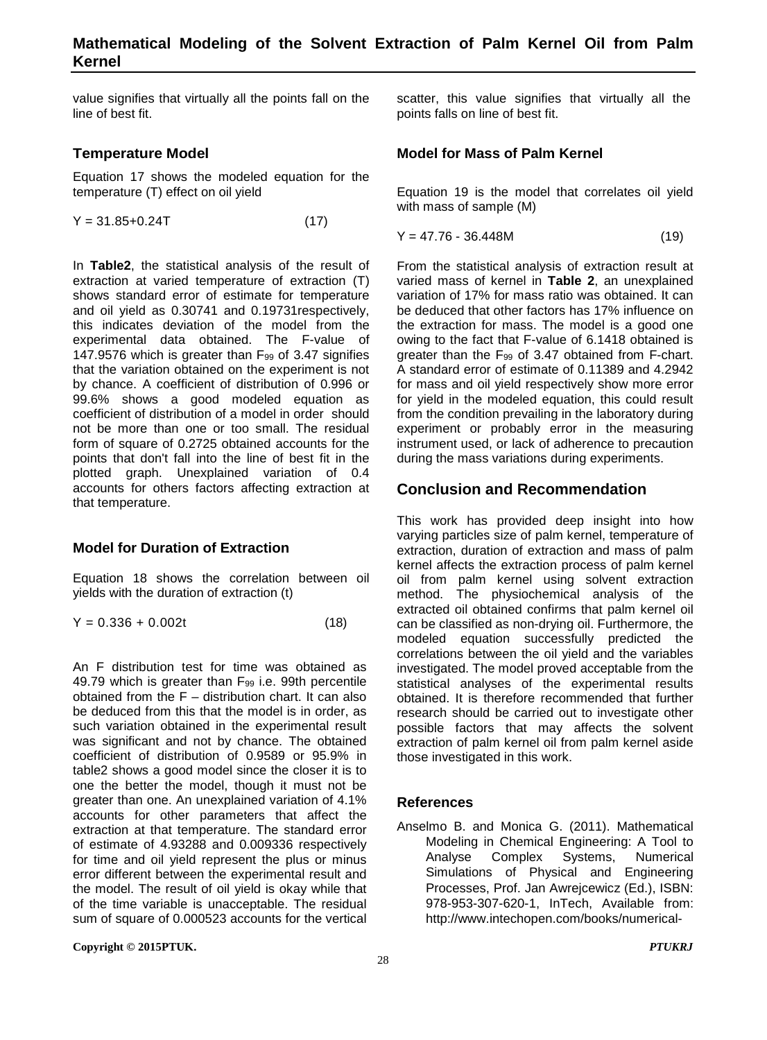value signifies that virtually all the points fall on the line of best fit.

## **Temperature Model**

Equation 17 shows the modeled equation for the temperature (T) effect on oil yield

$$
Y = 31.85 + 0.24T
$$
 (17)

In **Table2**, the statistical analysis of the result of extraction at varied temperature of extraction (T) shows standard error of estimate for temperature and oil yield as 0.30741 and 0.19731respectively, this indicates deviation of the model from the experimental data obtained. The F-value of 147.9576 which is greater than F99 of 3.47 signifies that the variation obtained on the experiment is not by chance. A coefficient of distribution of 0.996 or 99.6% shows a good modeled equation as coefficient of distribution of a model in order should not be more than one or too small. The residual form of square of 0.2725 obtained accounts for the points that don't fall into the line of best fit in the plotted graph. Unexplained variation of 0.4 accounts for others factors affecting extraction at that temperature.

## **Model for Duration of Extraction**

Equation 18 shows the correlation between oil yields with the duration of extraction (t)

$$
Y = 0.336 + 0.002t \tag{18}
$$

An F distribution test for time was obtained as 49.79 which is greater than F99 i.e. 99th percentile obtained from the F – distribution chart. It can also be deduced from this that the model is in order, as such variation obtained in the experimental result was significant and not by chance. The obtained coefficient of distribution of 0.9589 or 95.9% in table2 shows a good model since the closer it is to one the better the model, though it must not be greater than one. An unexplained variation of 4.1% accounts for other parameters that affect the extraction at that temperature. The standard error of estimate of 4.93288 and 0.009336 respectively for time and oil yield represent the plus or minus error different between the experimental result and the model. The result of oil yield is okay while that of the time variable is unacceptable. The residual sum of square of 0.000523 accounts for the vertical

**Copyright © 2015PTUK.** *PTUKRJ*

scatter, this value signifies that virtually all the points falls on line of best fit.

## **Model for Mass of Palm Kernel**

Equation 19 is the model that correlates oil yield with mass of sample (M)

$$
Y = 47.76 - 36.448M \tag{19}
$$

From the statistical analysis of extraction result at varied mass of kernel in **Table 2**, an unexplained variation of 17% for mass ratio was obtained. It can be deduced that other factors has 17% influence on the extraction for mass. The model is a good one owing to the fact that F-value of 6.1418 obtained is greater than the F99 of 3.47 obtained from F-chart. A standard error of estimate of 0.11389 and 4.2942 for mass and oil yield respectively show more error for yield in the modeled equation, this could result from the condition prevailing in the laboratory during experiment or probably error in the measuring instrument used, or lack of adherence to precaution during the mass variations during experiments.

## **Conclusion and Recommendation**

This work has provided deep insight into how varying particles size of palm kernel, temperature of extraction, duration of extraction and mass of palm kernel affects the extraction process of palm kernel oil from palm kernel using solvent extraction method. The physiochemical analysis of the extracted oil obtained confirms that palm kernel oil can be classified as non-drying oil. Furthermore, the modeled equation successfully predicted the correlations between the oil yield and the variables investigated. The model proved acceptable from the statistical analyses of the experimental results obtained. It is therefore recommended that further research should be carried out to investigate other possible factors that may affects the solvent extraction of palm kernel oil from palm kernel aside those investigated in this work.

## **References**

Anselmo B. and Monica G. (2011). Mathematical Modeling in Chemical Engineering: A Tool to Analyse Complex Systems, Numerical Simulations of Physical and Engineering Processes, Prof. Jan Awrejcewicz (Ed.), ISBN: 978-953-307-620-1, InTech, Available from: http://www.intechopen.com/books/numerical